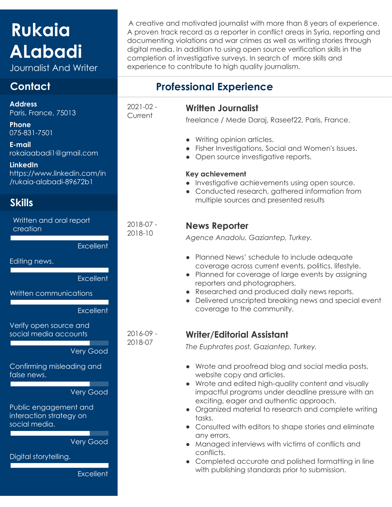# **Rukaia ALabadi**

Journalist And Writer

# **Contact**

**Address** Paris, France, 75013

**Phone** 075-831-7501

**E-mail** rokaiaabadi1@gmail.com

**LinkedIn** https://www.linkedin.com/in /rukaia-alabadi-89672b1

# **Skills**

Written and oral report creation

**Excellent** 

Editing news.

**Excellent** 

Written communications

**Excellent** 

Verify open source and social media accounts

Very Good

Confirming misleading and false news.

#### Very Good

Public engagement and interaction strategy on social media.

Very Good

Digital storytelling.

**Excellent** 

A creative and motivated journalist with more than 8 years of experience. A proven track record as a reporter in conflict areas in Syria, reporting and documenting violations and war crimes as well as writing stories through digital media. In addition to using open source verification skills in the completion of investigative surveys. In search of more skills and experience to contribute to high quality journalism.

# **Professional Experience**

2021-02 - **Current** 

2018-07 - 2018-10

2016-09 - 2018-07

#### **Written Journalist**

freelance / Mede Daraj, Raseef22, Paris, France.

- Writing opinion articles.
- Fisher Investigations, Social and Women's Issues.
- Open source investigative reports.

#### **Key achievement**

- Investigative achievements using open source.
- Conducted research, gathered information from multiple sources and presented results

### **News Reporter**

*Agence Anadolu, Gaziantep, Turkey.*

- Planned News' schedule to include adequate coverage across current events, politics, lifestyle.
- Planned for coverage of large events by assigning reporters and photographers.
- Researched and produced daily news reports.
- Delivered unscripted breaking news and special event coverage to the community.

## **Writer/Editorial Assistant**

*The Euphrates post, Gaziantep, Turkey.*

- Wrote and proofread blog and social media posts, website copy and articles.
- Wrote and edited high-quality content and visually impactful programs under deadline pressure with an exciting, eager and authentic approach.
- Organized material to research and complete writing tasks.
- Consulted with editors to shape stories and eliminate any errors.
- Managed interviews with victims of conflicts and conflicts.
- Completed accurate and polished formatting in line with publishing standards prior to submission.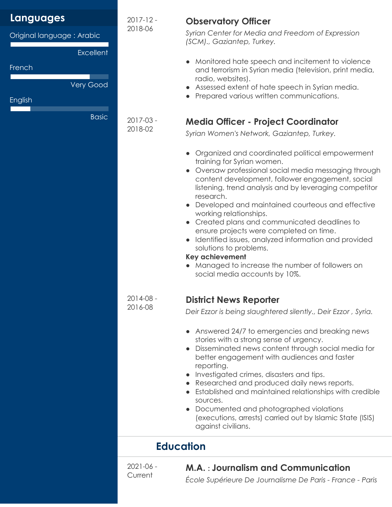| <b>Languages</b>                              | $2017 - 12 -$            | <b>Observatory Officer</b>                                                                                                                                                                                                                                                                                                                                                                                                                                                                                                                                                                                                                     |
|-----------------------------------------------|--------------------------|------------------------------------------------------------------------------------------------------------------------------------------------------------------------------------------------------------------------------------------------------------------------------------------------------------------------------------------------------------------------------------------------------------------------------------------------------------------------------------------------------------------------------------------------------------------------------------------------------------------------------------------------|
| Original language: Arabic<br><b>Excellent</b> | 2018-06                  | Syrian Center for Media and Freedom of Expression<br>(SCM)., Gaziantep, Turkey.                                                                                                                                                                                                                                                                                                                                                                                                                                                                                                                                                                |
| French<br><b>Very Good</b><br>English         |                          | Monitored hate speech and incitement to violence<br>and terrorism in Syrian media (television, print media,<br>radio, websites).<br>Assessed extent of hate speech in Syrian media.<br>Prepared various written communications.                                                                                                                                                                                                                                                                                                                                                                                                                |
| <b>Basic</b>                                  |                          |                                                                                                                                                                                                                                                                                                                                                                                                                                                                                                                                                                                                                                                |
|                                               | 2017-03 -<br>2018-02     | <b>Media Officer - Project Coordinator</b><br>Syrian Women's Network, Gaziantep, Turkey.                                                                                                                                                                                                                                                                                                                                                                                                                                                                                                                                                       |
|                                               |                          | Organized and coordinated political empowerment<br>training for Syrian women.<br>• Oversaw professional social media messaging through<br>content development, follower engagement, social<br>listening, trend analysis and by leveraging competitor<br>research.<br>• Developed and maintained courteous and effective<br>working relationships.<br>• Created plans and communicated deadlines to<br>ensure projects were completed on time.<br>Identified issues, analyzed information and provided<br>solutions to problems.<br><b>Key achievement</b><br>• Managed to increase the number of followers on<br>social media accounts by 10%. |
|                                               | 2014-08<br>2016-08       | <b>District News Reporter</b><br>Deir Ezzor is being slaughtered silently., Deir Ezzor, Syria.                                                                                                                                                                                                                                                                                                                                                                                                                                                                                                                                                 |
|                                               |                          | • Answered 24/7 to emergencies and breaking news<br>stories with a strong sense of urgency.<br>Disseminated news content through social media for<br>better engagement with audiences and faster<br>reporting.<br>Investigated crimes, disasters and tips.<br>Researched and produced daily news reports.<br>Established and maintained relationships with credible<br>sources.<br>• Documented and photographed violations<br>(executions, arrests) carried out by Islamic State (ISIS)<br>against civilians.                                                                                                                                 |
|                                               | <b>Education</b>         |                                                                                                                                                                                                                                                                                                                                                                                                                                                                                                                                                                                                                                                |
|                                               | $2021 - 06 -$<br>Current | M.A.: Journalism and Communication<br>École Supérieure De Journalisme De Paris - France - Paris                                                                                                                                                                                                                                                                                                                                                                                                                                                                                                                                                |